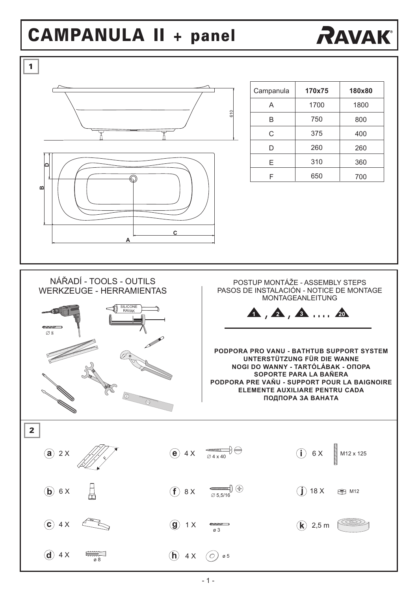

## **CAMPANULA II + panel**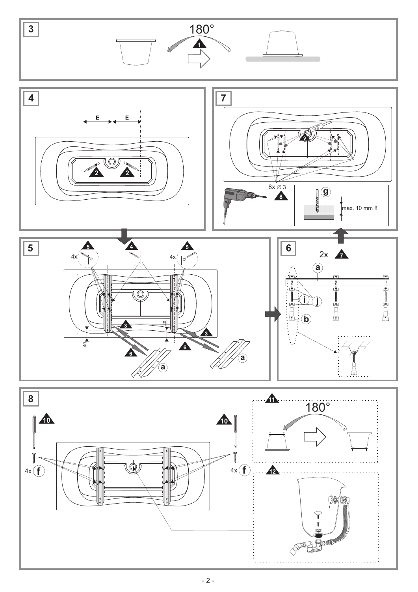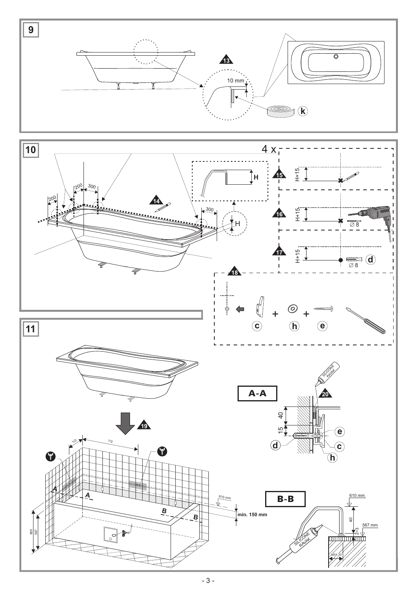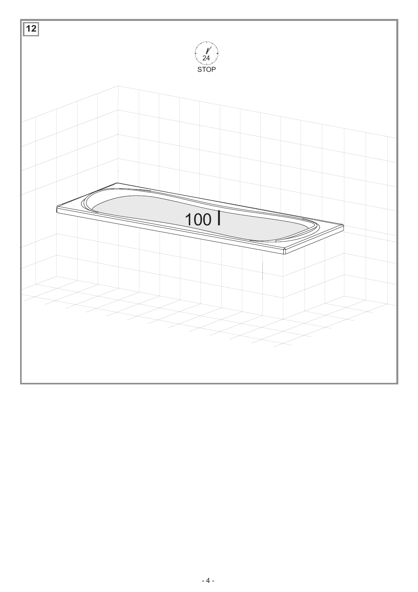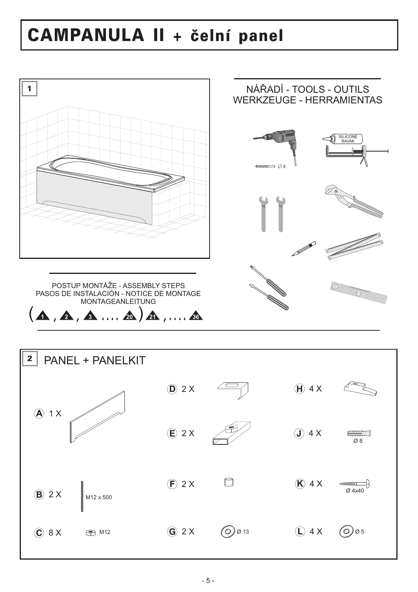# **CAMPANULA II + čelní panel**



 $\bigodot$   $\emptyset$  13

 $(O)$ 05

 $(D)$  4 X

 $\textcircled{G}$  2 X

 $\overline{C}$  8 X

图 M12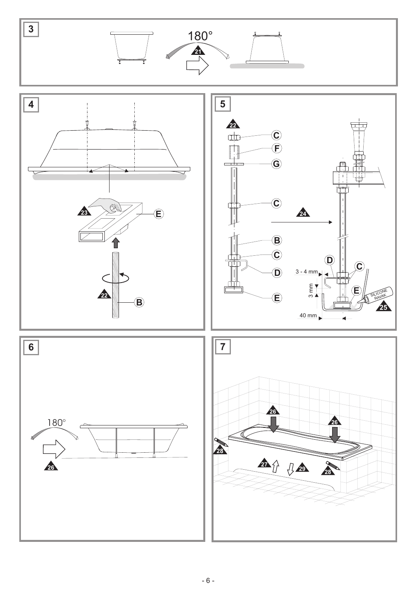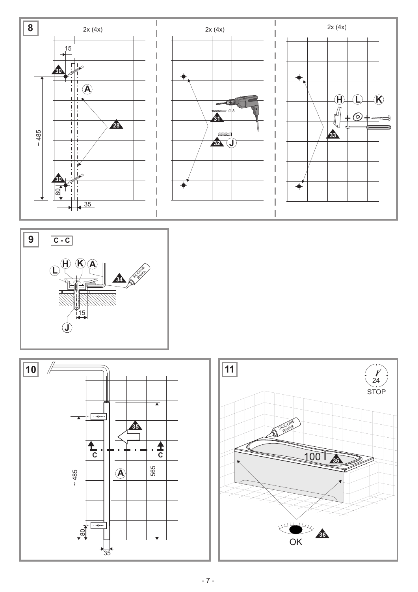





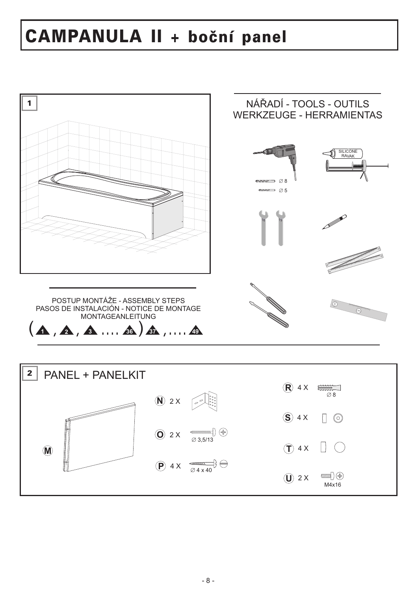# **CAMPANULA II + boční panel**



 $\overline{(\mathbf{P})}$  4 X  $\overline{\otimes}$  4 x 40

 $(\mathcal{F})$  (with  $\mathcal{F}$ )

M4x16

 $\overline{(\mathbf{U})}$  2 X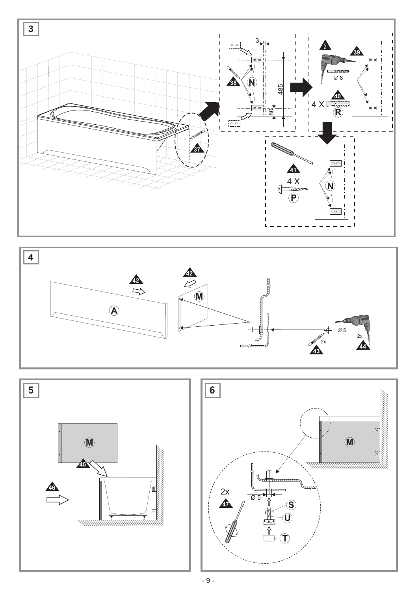





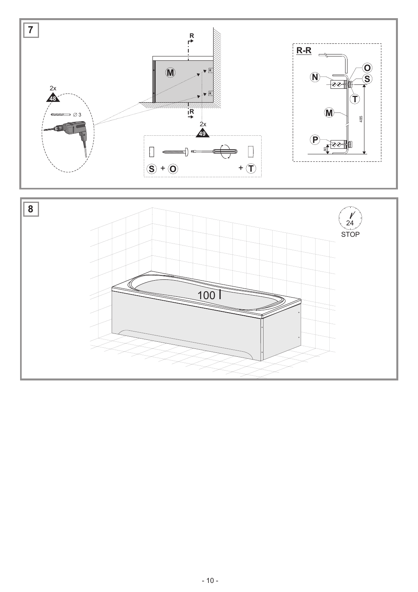

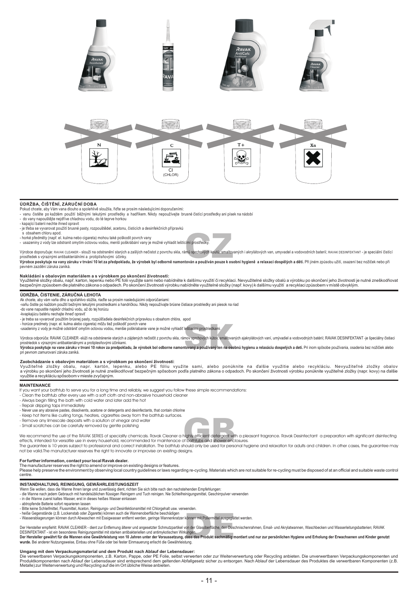



### ÚDRŽBA, ČIŠTĚNÍ, ZÁRUČNÍ DOBA

Pokud chcete, aby Vám vana dlouho a spolehlivě sloužila, řidte se prosím následujícími doporučeními:

- vanu čistěte po každém použití běžnými tekutými prostředky a hadříkem. Nikdy nepoužívejte brusné čistící prostředky ani písek na nádobí<br>- do vany napouštějte nejdříve chladnou vodu, do té teprve horkou
- 
- kapaiící baterii nechte ihned opravit
- je třeba se vyvarovat použití brusné pasty, rozpouštědel, acetonu, čisticích a desinfekčních přípravků
- s obsahem chloru apod
- 
- horké předměty (např. el. kulma nebo cigareta) mohou také poškodit povrch vany<br>- usazeniny z vody lze odstranit omytím octovou vodou, menší poškrábání vany je možné vyhladit leštícími prostředky

Výrobce doporučuje: RAVAK CLEANER - slouží na odstranění starých a zašlých nečistot z povrchu skla, rámů sprchových koutů, smaltovaných i akrylátových van, umyvadel a vodovodních baterií; RAVAK DESINFEKTANT - je speciální prostředek s výraznými antibakteriálními a protiplísňovými účinky.

výchoce poskytuje na vany záruku v trvání 10 let za předpokladu, že výrobek byl odborně namontován a používán pouze k osobní hygieně a relaxaci dospělých a dětí. Při jiném způsobu užití, osazení bez nožiček nebo při<br>pevném

Nakládání s obalov<mark>ým materiálem a s výrobkem po skončení životnosti:</mark><br>Využitelné složky obalu, např. karton, lepenku nebo PE folii využijte sami nebo nabídněte k dalšímu využiti či recyklaci. Nevyužitelné složky obalů a v bezpečným způsobem dle platného zákona o odpadech. Po skončení životnosti výrobku nabídněte využitelné složky (např. kovy) k dalšímu využití a recyklaci způsobem v místě obvyklým

#### ÚDRŽBA, ČISTENIE, ZÁRUČNÁ LEHOTA

Ak chcete, aby vám vaňa dlho a spoľahlivo slúžila, riadte sa prosím nasledujúcimi odporúčaniami:

-vaňu čistite po každom použití bežnými tekutými prostriedkami a handričkou. Nikdy nepoužívajte brúsne čistiace prostriedky ani piesok na riad

-do vane napustite najskôr chladnú vodu, až do tej horúcu<br>-kvapkajúcu batériu nechajte ihneď opraviť

i stankajud za zaura nadvaje umože praktu.<br>- je treba sa vyvarovať použitím brúsnej pasty, rozpúšťadiela desinfekčních prípravkou s obsahom chlóra, apod<br>- horúce predmety (napr. el. kulma alebo cigareta) môžu tiež poškodiť

-usadeniny z vody je možné odstrániť omytím octovou vodou, menšie poškriabanie vane je možné vyhladiť leštiacimi prostriedkami

Výrobca odporúča: RAVAK CLEANER -slúži na odstránenie starých a záidených nečistôt z povrchu skla, rámov sprchových kútov, smaliovaných ajakrylátových vaní, umývadiel a vodovodných batérií: RAVAK DESINFEKTANT -je špeciálny prostriedok s výraznými antibakteriálnymi a protiplesňovými účinkami.<br>Výrobca poskytuje na vane záruku v trvaní 10 rokov za predpokladu, že výrobok bol odborne namontovaný a používaný len na osobnú hygienu a relaxáciu dosp nri nevnom zamurovaní záruka zaniká

Zaobchádzanie s obalovým materiálom a s výrobkom po skončení životnosti:<br>Využiteľné zložky obalu, napr. kartón, lepenku, alebo PE fóliu využite sami, alebo ponúknite na ďalšie využite alebo recykláciu. Nevyužiteľné zložky využitie a recykláciu spôsobom v mieste zvyčajným.

#### **MAINTENANCE**

- If you want your bathtub to serve you for a long time and reliably, we suggest you follow these simple recommendations:
- Clean the bathtub after every use with a soft cloth and non-abrasive household cleaner
- Always begin filling the bath with cold water and later add the hot
- Repair dripping taps immediately
- Never use any abrasive pastes, dissolvents, acetone or detergents and desinfectants, that contain chlorine
- Keep hot items like curling tongs, heaters, cigarettes away from the bathtub surfaces.<br>Remove any limescale deposits with a solution of vinegar and water
- 
- Small scratches can be carefully removed by gentle polishing



For further information, contact your local Ravak dealer.<br>The manufacturer reserves the right to amend or improve on existing designs or features.

Please help preserve the environment by observing local country guidelines or laws regarding re-cycling. Materials which are not suitable for re-cycling must be disposed of at an official and suitable waste control centre

#### INSTANDHALTUNG REINIGUNG GEWÄHRLEISTUNGSZEIT

- 
- 
- 
- La Vienne zuerret kaltes Wasser, erst in dieses heißes Wasser einlassen in die Wanne zuerret kaltes Wasser, erst in dieses heißes Wasser einlassen abtropfende Batterie sofort reparieren lassen
- Later keine Schleifmittel, Flussmittel, Aceton, Reinigungs- und Desinfektionsmittel mit Chlorgehalt usw. verwenden.<br>- Bitte keine Schleifmittel, Flussmittel, Aceton, Reinigungs- und Desinfektionsmittel mit Chlorgehalt usw.
- Alternative processors and the second way to the control with the control of the method of the control of the control of the control of the control of the control of the control of the control of the control of the contr
- 

## Der Hersteller empfiehlt: RAVAK CLEANER - dient zur Entfernung älterer und angesetzter Schmutzpartikel von der Glasoberfläche, den Duschnischenrahmen, Email- und Akrylatwannen, Waschbecken und Wasserleitungsbatterien; RAVA

wurde. Bei anderer Nutzungsweise, Einbau ohne Füße oder bei fester Einmauerung erlischt die Gewährleistung.

## Umgang mit dem Verpackungsmaterial und dem Produkt nach Ablauf der Lebensdauer:

Die verwertbaren Verpackungskomponenten, z.B. Karton, Pappe, oder PE Folie, selbst verwerten oder zur Weiterverwertung oder Recycling anbieten. Die unverwertbaren Verpackungskomponenten und<br>Produktkomponenten nach Ablauf d Metalle) zur Weiterverwertung und Recycling auf die im Ort übliche Weise anbieten.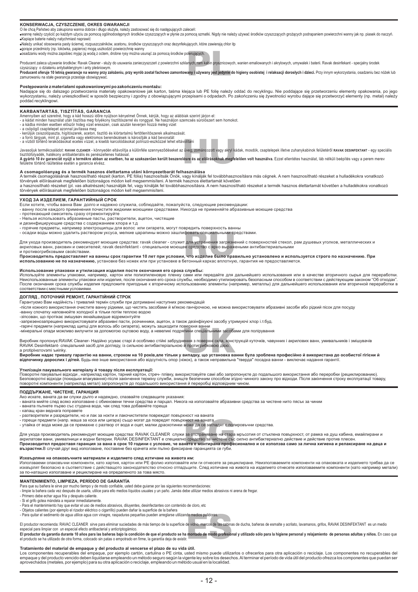## KONSERWACJA, CZYSZCZENIE, OKRES GWARANCJI

O ile chcą Państwo aby zakupiona wanna dobrze i długo służyła, należy zastosować się do następujących zaleceń:

wannę należy czyścić po każdym użyciu za pomocą ogólnodostępnych środków czyszczących w płynie za pomocą szmatki. Nigdy nie należy używać środków czyszczących grożących podrapaniem powierzchni wanny jak np. piasek do naczy .<br>ce baterie należy natychmiast napra

-Należy unikać stosowania pasty ściernej, rozpuszczalników, acetonu, środków czyszczących oraz dezynfekujących, które zawierają chlor itp

·gorące przedmioty (np. lokówka, papieros) mogą uszkodzić powierzchnię wanny<br>·osadzaniu wody można zapobiec myjąc ją wodą z octem, drobne rysy można usunąć za pomocą środków polerujących.

Producent zaleca używanie środków: Ravak Cleaner - służy do usuwania zanieczyszczeń z powierzchni szklanych, ram kał nicowych, wanien emaliowanych i akrylowych, umywalek i baterii. Rayak desinfekant - specialny środek: prvs:

### czyszczacy o działaniu antybakteryjnym i anty pleśniowym

Producent oferuje 10 letnią gwarancje na wanny przy założeniu, przy wyrób został fachowo zamontowany i używany jest jedynie do higieny osobistej i relaksacji dorosłych i dzieci. Przy innym wykorzystania, osadzeniu bez nóże zamurowaniu na stałe gwarancia przestaje obowiązywa

### Postępowanie z materiałami opakowaniowymi po zakończeniu montażu:

Andające się do dalszego przetworzenia materiały opakowaniowe jak karton, taśma klejąca lub PE folię należy oddać do recyklingu. Nie poddające się przetworzeniu elementy opakowania, po jego<br>Wykorzystaniu, należy unieszkodl

KARBANTARTÁS, TISZTÍTÁS, GARANCIA<br>Amennyiben azt szerethé, hogy a kád hosszú időre nyújtson kényelmet Önnek, kérjük, hogy az alábbiak szerint járjon el:<br>- a kádat minden használat után tisztítsa meg folyékony tisztítószerr

- 
- 
- a csöpögő csaptelepet azonnal javítassa meg<br>- kerüliük csiszolópaszta, hígítószerek, aceton, tisztító és klórtartalmú fertőtlenítőszerek alkalmazását.
- Koruján Csaszborokszára, mignoszcsok, accson, usztró csak a király nemet kirőletek a király a tartoztalásat.<br>- a forró tárgyak, mint pl. cigaretta vagy elektromos berendezések is károsítják a kád bevonatát.<br>- a vízből tö
- 

Javasoljuk termékcsaládot: RAVAK CLEANER - könnyedén eltávolítja a különféle szennyeződéseket az üveg, zománo <u>.</u><br>zott vagy akryl kádak, mosdók, csaptelepek illetve zuhanykabinok felületéről **RAVAK DESINFEKTANT** - egy speciális

tisztitófolyadék, hatékony antibakteriális és penészellenes hatással.<br>A gyártó 10 év garanciát nyújt a termékre abban az esetben, ha az szakszerűen került beszerelésre és az előírásoknak megfelelően volt használva. Ezzel e

A csomagolóanyag és a termék hasznos élettartama utáni környezetbarát felhasználása<br>A termék csomagolásának hasznosítható részeit (karton, PE fólia) hasznosítsák Ónök, vagy kínálják fel továbbhasznosításra más cégnek. A ne

törvények előírásajnak megfelelően biztonságos módon kell megsemmisíteni.

## УХОД ЗА ИЗДЕЛИЕМ, ГАРАНТИЙНЫЙ СРОК

льно и согла с предлагать и согла с том согла соблюдайте, пожалуйста, следующие рекомендации:<br>- ванну после каждого применения почистите жидкими моющими средствами. Никогда не применяйте абразивные моющие средства

- протекающий смеситель сразу отремонтируйте<br>- протекающий смеситель сразу отремонтируйте<br>- Нельзя использовать абразивные пасты, растворители, ацетон, чистящие

и дезинфицирующие средства с содержанием хлора и т.д.

горячие предметы, например электрощипцы для волос или сигарета, могут повредить поверхность ванны

- осадки воды можно удалить раствором уксуса, мелкие царапины можно зашлифовать специальными средствами

Для ухода производитель рекомендует моющие средства: ravak cleaner - служит для устранения загрязнений с поверхностей стекол, рам душевых уголков, металлических и<br>акриловых ванн, раковин и смесителей; ravak desinfektant и противогрибковыми свойствами

#### использованию не по назначению, установке без ножек или при установке в бетонный каркас вплотную, гарантия не предоставляется

#### Использование упаковки и утилизация изделия посте окончания его срока службы:

используйте элементы упаковки, например, картон или полизтитеновую пленку сами или передайте для дальнейшего использования или в качестве вторичного сырья для переработки.<br>Неиспользованные элементы упаковки или изделия, п соответствии с местными условиями.

ДОГЛЯД, ПОТОЧНИЙ РЕМОНТ, ГАРАНТІЙНИЙ СТРОК<br>Гарантуємо Вам надійність і тривалий термін служби при дотриманні наступних рекомендацій

-після кожного використання очистите ванну рідкими, що чистять засобами й м'якою ганчірочкою, не можна використовувати абразивні засоби або рідкий пісок для посуду -ванну спочатку наповнюйте холодної а тільки потім теплою водою

-зіпсован, що протікає змішувач якнайшвидше відремонтуйте<br>-запрезенозапрещено використовувати абразивні пасти, розчинники, ацетон, а також дезінфікуючі засобу утримуючі хлор і.т.буд.

-гарячі предмети (наприклад щипці для волось або сигарета), можуть зашкодити поверхня ванни<br>-гарячі предмети (наприклад щипці для волось або сигарета), можуть зашкодити поверхня ванни<br>-мінеральні опади можливо вилучити за

Виробник пропонує:RAVAK Cleaner- Надійно усуває старі й особливо стійкі забруднення з поверхні скла, конструкцій куточків, чавунних і акрилових ванн, умивальників і змішувачів<br>RAVAK Desinfektant- спеціальний засіб для дог a profinlustovami bujnky

#### Ř .<br>иробник надає тривалу гарантію на ванни, строком на 10 років,але тільки у випадку, що установка ванни була зроблена професійно й використана до особистої гігієни й відпочинку дорослих і дітей. Буль-яке інше використання або вілсутність опор (ніжок), а також неправильна "тверда" посалка ванни - виключає надання гарантії

**Утилізація пакувального матеріалу й товару після експлуатації:**<br>Поворотні пакувальні відходи , наприклад картон, тарний картон, стреч- плівку, використовуйте самі або адропонуєте до подальшого використання або переробки

ПОДДЪРЖАНЕ, ЧИСТЕНЕ, ГАРАНЦИЯ<br>Ако искате, ваната да ви служи дълго и надеждно, спазвайте следващите указания:

- ваната мийте след всяко използване с обикновени течни средства и парцал. Никога на използвайте абразивни средства за чистене нито пясък за чинии

- ваната пълнете първо със студена вода, чак след това добавяйте гореща
- капаш кран веднага поправете

- утайка от вода може да се премахне с разтвор от вода и оцет, малки драскотинки може да се загладят с полировъчни средства.

Для ухода производитель рекомендует моющие средства: RAVAK CLEANER служи за отстраняване на стара мръсотия от стъклена повърхност, от рамка на душ кабина, емайлирани и не подводител на представи подни батерии. RAVAK DESINFEKTANT е специално средство за чистене със силно антибактериално действие и действие против плесен.<br>Производител предоставя гаранция за вана в срок 10 години с условие възрастни. В случай друг вид използване, поставяне без крачета или пълно фиксиране гаранцията се губи.

#### Изхвърляне на опаковъчните материали и изделието след изтичане на живота им:

Използваеми опаковъчни компоненти, като хартия, картон или РЕ фолио използвайте или пи отнесете за рециклиране. Неизползваемите компоненти на опаковката и изделието трябва да се<br>изхвърлят безопасно в съответствие с действ за по-наташно използване и рециклиране на определеното за това място.

## MANTENIMIENTO, LIMPIEZA, PERÍODO DE GARANTÍA

Para que su bañera le sirve por mucho tiempo y de modo confiable, usted debe guiarse por las siguientes recomendaciones:<br>- limpie la bañera le sirve por mucho tiempo y de modo confiable, usted debe guiarse por las siguient

- Primero debe echar aqua fría y después caliente.
- Si el grifo gotea mándela a reparar inmediatamente
- Para el mantenimiento hay que evitar el uso de medios abrasivos, diluyentes, desinfectantes con contenido de cloro, e
- 

- Para el mantenimiento nay que evirar el uso de medios abrasivos, unoyonos, ocomoconos con comunicación en l<br>- Objetos calientes (por ejemplo el rizador eléctrico o cigarrillo) pueden dañar la superficie de la bañera<br>- Pa

El productor recomienda: RAVAC CLEANER sirve para eliminar suciedades de más tiempo de la superficie de vidrio, marcos de las cabinas de ducha, bañeras de esmalte y acrilato, lavamanos, grifos, RAVAK DESINFEKTANT es un med

especial para limpiar con un especial efecto antibacterial y anticriptogámico. El productor da garantía durante 10 años para las bañeras bajo la condición de que el producto se ha montado de modo profesional y utilizado sólo para la higiene personal y relajamiento de personas adultas y niños. En caso el producto se ha utilizado de otra forma, colocado sin patas o empotrado en firme, la garantía deja de existir

Tratamiento del material de empaque y del producto al vencerse el plazo de su vida útil.<br>Los componentes recuperables del empaque, por ejemplo cartón, cartulina o PE cinta, usted mismo puede utilizarlos o ofrecerlos para o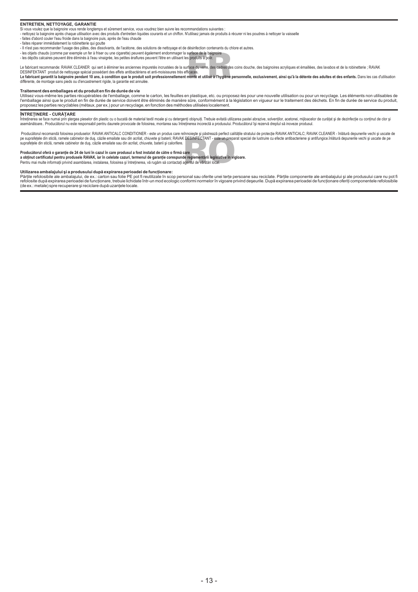#### **ENTRETIEN, NETTOYAGE, GARANTIE**

Si vous voulez que la baignoire vous rende longtemps et sûrement service, vous voudrez bien suivre les recommandations suivantes :

- nettoyez la baignoire après chaque utilisation avec des produits d'entretien liquides courants et un chiffon. N'utilisez jamais de produits à récurer ni les poudres à nettoyer la vaisselle

- faites d'abord couler l'eau froide dans la baignoire puis, après de l'eau chaude

- faites réparer immédiatement la robinetterie qui goutte

- Il n'est pas recommander l'usage des pâtes, des dissolvants, de l'acétone, des solutions de nettoyage et de désinfection contenants du chlore et autres.
- les objets chauds (comme par exemple un fer à friser ou une cigarette) peuvent également endommager la surface de la baignoire<br>- les dépôts calcaires peuvent être éliminés à l'eau vinaigrée, les petites éraflures peuvent
- 

Le fabricant recommande: RAVAK CLEANER qui sert à éliminer les anciennes impuretés incrustées de la surface du verre, des cadres des coins douche, des baignoires acryliques et émaillées, des lavabos et de la robinetterie ;

surface de la baignoire<br>s produits à polir.<br>rface du verre, des cadres de<br>ficaces.<br>monté et utilisé à l'hygiène DESINFEKTANT produit de nettoyage spécial possédant des effets antibactériens et anti-moisissures très efficaces.<br>Le fabricant garantit la baignoire pendant 10 ans, à condition que le produit soit professionnellement monté différente, de montage sans pieds ou d'encastrement rigide, la garantie est annulée.

#### **Traitement des emballages et du produit en fin de durée de vie**

Utilisez vous-même les parties récupérables de l'emballage, comme le carton, les feuilles en plastique, etc. ou proposez-les pour une nouvelle utilisation ou pour un recyclage. Les éléments non utilisables de<br>l'emballage a proposez les parties recyclables (métaux, par ex.) pour un recyclage, en fonction des méthodes utilisées localement.

## **ÎNTREȚINERE - CURĂȚARE**

Īntreținerea se face numai prin ștergea pieselor din plastic cu o bucată de material textil moale și cu detergenți obișnuiți. Trebuie evitată utilizarea pastei abrazive, solvenților, acetonei, mijloacelor de curățat și de

CDESINFECTANT - este un prepa<br>care<br>le reglementarii legislative în vig<br>gentul de vânzări local. Producătorul recomandă folosirea produselor: RAVAK ANTICALC CONDITIONER - este un produs care reînnoiește și păstrează perfect calitățile stratului de protecție RAVAK ANTICALC; RAVAK CLEANER - înlătură depunerile vechi și suprafetele din sticlă, ramele cabinelor de dus, căzile emailate sau din acrilat, chiuvete, baterii și calorifere.

Pentru mai multe informații privind asamblarea, instalarea, folosirea și întreținerea, vă rugăm să contactați agentul de vânzări local Producătorul oferă o garanție de 24 de luni în cazul în care produsul a fost instalat de către o firmă care<br>a obținut certificatul pentru produsele RAVAK, iar în celelate cazuri, termenul de garanție corespunde reglementăr

#### Utilizarea ambalajului și a produsului după expirarea perioadei de funcționare:

Părțile refolosibile ale ambalajului, de ex.: carton sau folie PE pot fi reutilizate în scop personal sau oferite unei terțe persoane sau reciclate. Părțile componente ale ambalajului și ale produsului care nu pot fi<br>refol (de ex.: metale) spre recuperare și reciclare după uzanțele locale.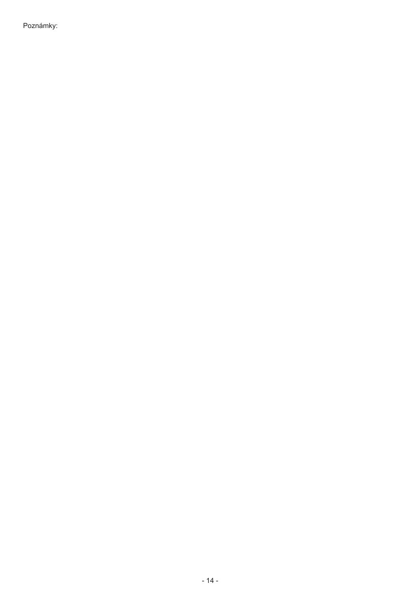Poznámky: